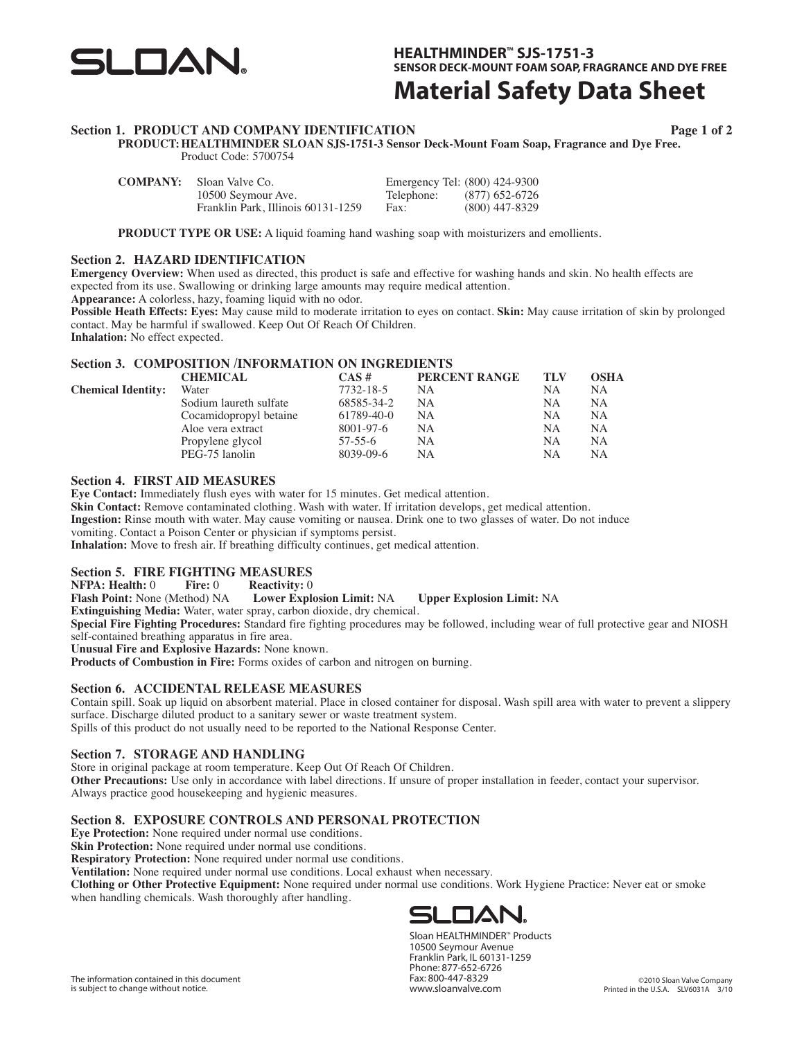

**HEALTHMINDER™ SJS-1751-3 SENSOR DECK-MOUNT FOAM SOAP, FRAGRANCE AND DYE FREE**

## **Material Safety Data Sheet**

### **Section 1. PRODUCT AND COMPANY IDENTIFICATION**

**Page 1 of 2**

**PRODUCT: HEALTHMINDER SLOAN SJS-1751-3 Sensor Deck-Mount Foam Soap, Fragrance and Dye Free.** Product Code: 5700754

| <b>COMPANY:</b> | Sloan Valve Co.                    |            | Emergency Tel: (800) 424-9300 |
|-----------------|------------------------------------|------------|-------------------------------|
|                 | 10500 Seymour Ave.                 | Telephone: | (877) 652-6726                |
|                 | Franklin Park, Illinois 60131-1259 | Fax:       | $(800)$ 447-8329              |

**PRODUCT TYPE OR USE:** A liquid foaming hand washing soap with moisturizers and emollients.

### **Section 2. HAZARD IDENTIFICATION**

**Emergency Overview:** When used as directed, this product is safe and effective for washing hands and skin. No health effects are expected from its use. Swallowing or drinking large amounts may require medical attention.

**Appearance:** A colorless, hazy, foaming liquid with no odor.

**Possible Heath Effects: Eyes:** May cause mild to moderate irritation to eyes on contact. **Skin:** May cause irritation of skin by prolonged contact. May be harmful if swallowed. Keep Out Of Reach Of Children.

**Inhalation:** No effect expected.

### **Section 3. COMPOSITION /INFORMATION ON INGREDIENTS**

|                           | <b>CHEMICAL</b>        | $CAS \#$         | PERCENT RANGE | TLV | OSHA      |
|---------------------------|------------------------|------------------|---------------|-----|-----------|
| <b>Chemical Identity:</b> | Water                  | 7732-18-5        | NΑ            | NΑ  | NA.       |
|                           | Sodium laureth sulfate | 68585-34-2       | NΑ            | NΑ  | NA.       |
|                           | Cocamidopropyl betaine | $61789 - 40 - 0$ | NA            | NΑ  | <b>NA</b> |
|                           | Aloe vera extract      | 8001-97-6        | <b>NA</b>     | NA  | <b>NA</b> |
|                           | Propylene glycol       | $57-55-6$        | NA            | NΑ  | <b>NA</b> |
|                           | PEG-75 lanolin         | 8039-09-6        | NΑ            | NА  | NΑ        |

### **Section 4. FIRST AID MEASURES**

**Eye Contact:** Immediately flush eyes with water for 15 minutes. Get medical attention.

**Skin Contact:** Remove contaminated clothing. Wash with water. If irritation develops, get medical attention.

**Ingestion:** Rinse mouth with water. May cause vomiting or nausea. Drink one to two glasses of water. Do not induce

vomiting. Contact a Poison Center or physician if symptoms persist.

**Inhalation:** Move to fresh air. If breathing difficulty continues, get medical attention.

### **Section 5. FIRE FIGHTING MEASURES**<br>**NFPA: Health:** 0 Fire: 0 Reactivity: 0

**NFPA: Health:** 0 **Fire:** 0 **Reactivity:** 0 **Flash Point:** None (Method) NA **Lower Explosion Limit:** NA **Flash Point:** None (Method) NA **Lower Explosion Limit:** NA **Upper Explosion Limit:** NA

**Extinguishing Media:** Water, water spray, carbon dioxide, dry chemical.

**Special Fire Fighting Procedures:** Standard fire fighting procedures may be followed, including wear of full protective gear and NIOSH self-contained breathing apparatus in fire area.

**Unusual Fire and Explosive Hazards:** None known.

**Products of Combustion in Fire:** Forms oxides of carbon and nitrogen on burning.

### **Section 6. ACCIDENTAL RELEASE MEASURES**

Contain spill. Soak up liquid on absorbent material. Place in closed container for disposal. Wash spill area with water to prevent a slippery surface. Discharge diluted product to a sanitary sewer or waste treatment system. Spills of this product do not usually need to be reported to the National Response Center.

### **Section 7. STORAGE AND HANDLING**

Store in original package at room temperature. Keep Out Of Reach Of Children. **Other Precautions:** Use only in accordance with label directions. If unsure of proper installation in feeder, contact your supervisor. Always practice good housekeeping and hygienic measures.

### **Section 8. EXPOSURE CONTROLS AND PERSONAL PROTECTION**

**Eye Protection:** None required under normal use conditions.

**Skin Protection:** None required under normal use conditions.

**Respiratory Protection:** None required under normal use conditions.

**Ventilation:** None required under normal use conditions. Local exhaust when necessary.

**Clothing or Other Protective Equipment:** None required under normal use conditions. Work Hygiene Practice: Never eat or smoke when handling chemicals. Wash thoroughly after handling.



Sloan HEALTHMINDER™ Products 10500 Seymour Avenue Franklin Park, IL 60131-1259 Phone: 877-652-6726 Fax: 800-447-8329 www.sloanvalve.com

The information contained in this document is subject to change without notice.

©2010 Sloan Valve Company Printed in the U.S.A. SLV6031A 3/10